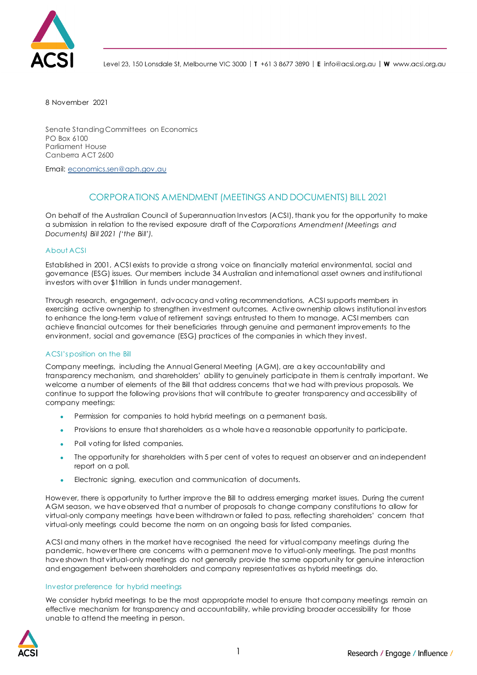

Level 23, 150 Lonsdale St, Melbourne VIC 3000 | T +61 3 8677 3890 | E info@acsi.org.au | W www.acsi.org.au

8 November 2021

Senate Standing Committees on Economics PO Box 6100 Parliament House Canberra ACT 2600

Email: [economics.sen@aph.gov.au](mailto:economics.sen@aph.gov.au)

# CORPORATIONS AMENDMENT (MEETINGS AND DOCUMENTS) BILL 2021

On behalf of the Australian Council of Superannuation Investors (ACSI), thank you for the opportunity to make a submission in relation to the revised exposure draft of the *Corporations Amendment (Meetings and Documents) Bill 2021 ('the Bill').*

## About ACSI

Established in 2001, ACSI exists to provide a strong voice on financially material environmental, social and governance (ESG) issues. Our members include 34 Australian and international asset owners and institutional investors with over \$1trillion in funds under management.

Through research, engagement, advocacy and voting recommendations, ACSI supports members in exercising active ownership to strengthen investment outcomes. Active ownership allows institutional investors to enhance the long-term value of retirement savings entrusted to them to manage. ACSI members can achieve financial outcomes for their beneficiaries through genuine and permanent improvements to the environment, social and governance (ESG) practices of the companies in which they invest.

## ACSI's position on the Bill

Company meetings, including the Annual General Meeting (AGM), are a key accountability and transparency mechanism, and shareholders' ability to genuinely participate in them is centrally important. We welcome a number of elements of the Bill that address concerns that we had with previous proposals. We continue to support the following provisions that will contribute to greater transparency and accessibility of company meetings:

- Permission for companies to hold hybrid meetings on a permanent basis.
- Provisions to ensure that shareholders as a whole have a reasonable opportunity to participate.
- Poll voting for listed companies.
- The opportunity for shareholders with 5 per cent of votes to request an observer and an independent report on a poll.
- Electronic signing, execution and communication of documents.

However, there is opportunity to further improve the Bill to address emerging market issues. During the current AGM season, we have observed that a number of proposals to change company constitutions to allow for virtual-only company meetings have been withdrawn or failed to pass, reflecting shareholders' concern that virtual-only meetings could become the norm on an ongoing basis for listed companies.

ACSI and many others in the market have recognised the need for virtual company meetings during the pandemic, however there are concerns with a permanent move to virtual-only meetings. The past months have shown that virtual-only meetings do not generally provide the same opportunity for genuine interaction and engagement between shareholders and company representatives as hybrid meetings do.

## Investor preference for hybrid meetings

We consider hybrid meetings to be the most appropriate model to ensure that company meetings remain an effective mechanism for transparency and accountability, while providing broader accessibility for those unable to attend the meeting in person.

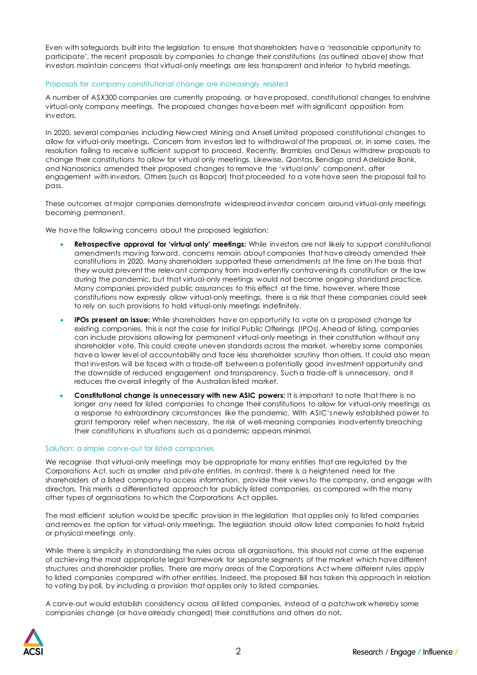Even with safeguards built into the legislation to ensure that shareholders have a 'reasonable opportunity to participate', the recent proposals by companies to change their constitutions (as outlined above) show that investors maintain concerns that virtual-only meetings are less transparent and inferior to hybrid meetings.

### Proposals for company constitutional change are increasingly resisted

A number of ASX300 companies are currently proposing, or have proposed, constitutional changes to enshrine virtual-only company meetings. The proposed changes have been met with significant opposition from investors.

In 2020, several companies including Newcrest Mining and Ansell Limited proposed constitutional changes to allow for virtual-only meetings. Concern from investors led to withdrawal of the proposal, or, in some cases, the resolution failing to receive sufficient support to proceed. Recently, Brambles and Dexus withdrew proposals to change their constitutions to allow for virtual only meetings. Likewise, Qantas, Bendigo and Adelaide Bank, and Nanosonics amended their proposed changes to remove the 'virtual only' component, after engagement with investors. Others (such as Bapcor) that proceeded to a vote have seen the proposal fail to pass.

These outcomes at major companies demonstrate widespread investor concern around virtual-only meetings becoming permanent.

We have the following concerns about the proposed legislation:

- **Retrospective approval for 'virtual only' meetings:** While investors are not likely to support constitutional amendments moving forward, concerns remain about companies that have already amended their constitutions in 2020. Many shareholders supported these amendments at the time on the basis that they would prevent the relevant company from inadvertently contravening its constitution or the law during the pandemic, but that virtual-only meetings would not become ongoing standard practice. Many companies provided public assurances to this effect at the time, however, where those constitutions now expressly allow virtual-only meetings, there is a risk that these companies could seek to rely on such provisions to hold virtual-only meetings indefinitely.
- **IPOs present an issue:** While shareholders have an opportunity to vote on a proposed change for existing companies, this is not the case for Initial Public Offerings (IPOs). Ahead of listing, companies can include provisions allowing for permanent virtual-only meetings in their constitution without any shareholder vote. This could create uneven standards across the market, whereby some companies have a lower level of accountability and face less shareholder scrutiny than others. It could also mean that investors will be faced with a trade-off between a potentially good investment opportunity and the downside of reduced engagement and transparency. Such a trade-off is unnecessary, and it reduces the overall integrity of the Australian listed market.
- **Constitutional change is unnecessary with new ASIC powers:** It is important to note that there is no longer any need for listed companies to change their constitutions to allow for virtual-only meetings as a response to extraordinary circumstances like the pandemic. With ASIC's newly established power to grant temporary relief when necessary, the risk of well-meaning companies inadvertently breaching their constitutions in situations such as a pandemic appears minimal.

## Solution: a simple carve-out for listed companies

We recognise that virtual-only meetings may be appropriate for many entities that are regulated by the Corporations Act, such as smaller and private entities. In contrast, there is a heightened need for the shareholders of a listed company to access information, provide their views to the company, and engage with directors. This merits a differentiated approach for publicly listed companies, as compared with the many other types of organisations to which the Corporations Act applies.

The most efficient solution would be specific provision in the legislation that applies only to listed companies and removes the option for virtual-only meetings. The legislation should allow listed companies to hold hybrid or physical meetings only.

While there is simplicity in standardising the rules across all organisations, this should not come at the expense of achieving the most appropriate legal framework for separate segments of the market which havedifferent structures and shareholder profiles. There are many areas of the Corporations Act where different rules apply to listed companies compared with other entities. Indeed, the proposed Bill has taken this approach in relation to voting by poll, by including a provision that applies only to listed companies.

A carve-out would establish consistency across all listed companies, instead of a patchwork whereby some companies change (or have already changed) their constitutions and others do not**.**